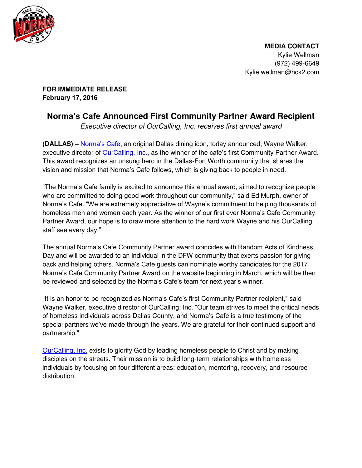

 **MEDIA CONTACT**  Kylie Wellman (972) 499-6649 Kylie.wellman@hck2.com

**FOR IMMEDIATE RELEASE February 17, 2016** 

## **Norma's Cafe Announced First Community Partner Award Recipient**

*Executive director of OurCalling, Inc. receives first annual award* 

**(DALLAS) –** [Norma's Cafe](http://normascafe.com/), an original Dallas dining icon, today announced, Wayne Walker, executive director of **OurCalling, Inc.**, as the winner of the cafe's first Community Partner Award. This award recognizes an unsung hero in the Dallas-Fort Worth community that shares the vision and mission that Norma's Cafe follows, which is giving back to people in need.

"The Norma's Cafe family is excited to announce this annual award, aimed to recognize people who are committed to doing good work throughout our community," said Ed Murph, owner of Norma's Cafe. "We are extremely appreciative of Wayne's commitment to helping thousands of homeless men and women each year. As the winner of our first ever Norma's Cafe Community Partner Award, our hope is to draw more attention to the hard work Wayne and his OurCalling staff see every day."

The annual Norma's Cafe Community Partner award coincides with Random Acts of Kindness Day and will be awarded to an individual in the DFW community that exerts passion for giving back and helping others. Norma's Cafe guests can nominate worthy candidates for the 2017 Norma's Cafe Community Partner Award on the website beginning in March, which will be then be reviewed and selected by the Norma's Cafe's team for next year's winner.

"It is an honor to be recognized as Norma's Cafe's first Community Partner recipient," said Wayne Walker, executive director of OurCalling, Inc. "Our team strives to meet the critical needs of homeless individuals across Dallas County, and Norma's Cafe is a true testimony of the special partners we've made through the years. We are grateful for their continued support and partnership."

[OurCalling, Inc.](http://www.ourcalling.org/) exists to glorify God by leading homeless people to Christ and by making disciples on the streets. Their mission is to build long-term relationships with homeless individuals by focusing on four different areas: education, mentoring, recovery, and resource distribution.